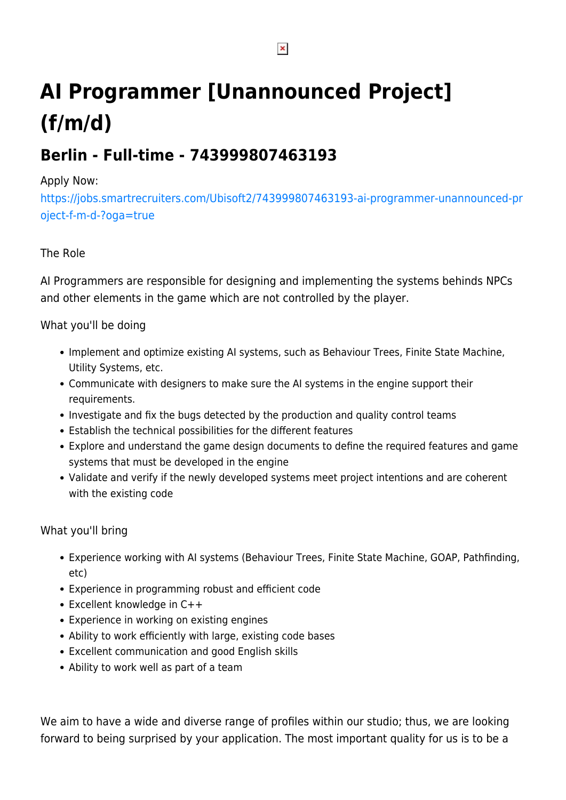# **AI Programmer [Unannounced Project] (f/m/d)**

# **Berlin - Full-time - 743999807463193**

#### Apply Now:

[https://jobs.smartrecruiters.com/Ubisoft2/743999807463193-ai-programmer-unannounced-pr](https://jobs.smartrecruiters.com/Ubisoft2/743999807463193-ai-programmer-unannounced-project-f-m-d-?oga=true) [oject-f-m-d-?oga=true](https://jobs.smartrecruiters.com/Ubisoft2/743999807463193-ai-programmer-unannounced-project-f-m-d-?oga=true)

## The Role

AI Programmers are responsible for designing and implementing the systems behinds NPCs and other elements in the game which are not controlled by the player.

### What you'll be doing

- Implement and optimize existing AI systems, such as Behaviour Trees, Finite State Machine, Utility Systems, etc.
- Communicate with designers to make sure the AI systems in the engine support their requirements.
- Investigate and fix the bugs detected by the production and quality control teams
- Establish the technical possibilities for the different features
- Explore and understand the game design documents to define the required features and game systems that must be developed in the engine
- Validate and verify if the newly developed systems meet project intentions and are coherent with the existing code

#### What you'll bring

- Experience working with AI systems (Behaviour Trees, Finite State Machine, GOAP, Pathfinding, etc)
- Experience in programming robust and efficient code
- Excellent knowledge in C++
- Experience in working on existing engines
- Ability to work efficiently with large, existing code bases
- Excellent communication and good English skills
- Ability to work well as part of a team

We aim to have a wide and diverse range of profiles within our studio; thus, we are looking forward to being surprised by your application. The most important quality for us is to be a

 $\pmb{\times}$